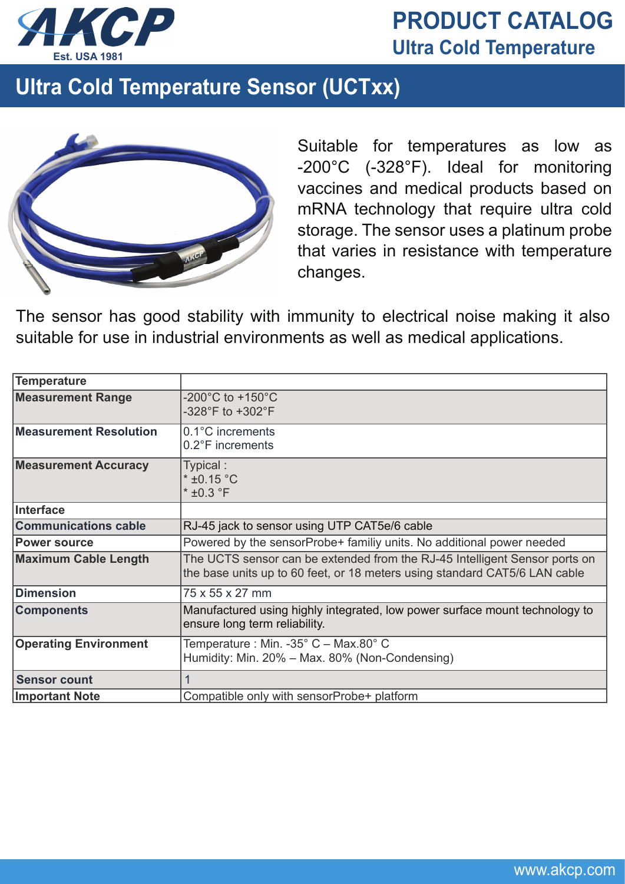

## **PRODUCT CATALOG Est. USA 1981 Ultra Cold Temperature**

## **Ultra Cold Temperature Sensor (UCTxx)**



Suitable for temperatures as low as -200°C (-328°F). Ideal for monitoring vaccines and medical products based on mRNA technology that require ultra cold storage. The sensor uses a platinum probe that varies in resistance with temperature changes.

The sensor has good stability with immunity to electrical noise making it also suitable for use in industrial environments as well as medical applications.

| Temperature                  |                                                                                                                                                          |
|------------------------------|----------------------------------------------------------------------------------------------------------------------------------------------------------|
| <b>Measurement Range</b>     | -200 $^{\circ}$ C to +150 $^{\circ}$ C<br>-328°F to +302°F                                                                                               |
| Measurement Resolution       | $0.1^{\circ}$ C increments<br>0.2°F increments                                                                                                           |
| <b>Measurement Accuracy</b>  | Typical:<br>$*$ ±0.15 °C<br>$*$ ±0.3 $\degree$ F                                                                                                         |
| Interface                    |                                                                                                                                                          |
| <b>Communications cable</b>  | RJ-45 jack to sensor using UTP CAT5e/6 cable                                                                                                             |
| <b>Power source</b>          | Powered by the sensorProbe+ familiy units. No additional power needed                                                                                    |
| <b>Maximum Cable Length</b>  | The UCTS sensor can be extended from the RJ-45 Intelligent Sensor ports on<br>the base units up to 60 feet, or 18 meters using standard CAT5/6 LAN cable |
| <b>Dimension</b>             | 75 x 55 x 27 mm                                                                                                                                          |
| <b>Components</b>            | Manufactured using highly integrated, low power surface mount technology to<br>ensure long term reliability.                                             |
| <b>Operating Environment</b> | Temperature : Min. -35° C - Max.80° C<br>Humidity: Min. 20% - Max. 80% (Non-Condensing)                                                                  |
| <b>Sensor count</b>          |                                                                                                                                                          |
| <b>Important Note</b>        | Compatible only with sensorProbe+ platform                                                                                                               |